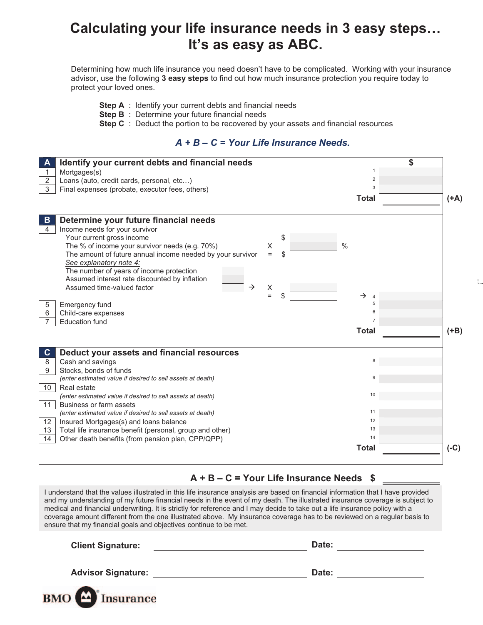# **Calculating your life insurance needs in 3 easy steps… It's as easy as ABC.**

Determining how much life insurance you need doesn't have to be complicated. Working with your insurance advisor, use the following **3 easy steps** to find out how much insurance protection you require today to protect your loved ones.

- **Step A** : Identify your current debts and financial needs
- **Step B** : Determine your future financial needs
- **Step C** : Deduct the portion to be recovered by your assets and financial resources

## *A + B – C = Your Life Insurance Needs.*

| Identify your current debts and financial needs<br>А                    |                                      |        |
|-------------------------------------------------------------------------|--------------------------------------|--------|
| Mortgages(s)<br>1                                                       |                                      |        |
| $\overline{2}$<br>Loans (auto, credit cards, personal, etc)             | $\overline{2}$                       |        |
| 3<br>Final expenses (probate, executor fees, others)                    | 3                                    |        |
|                                                                         | <b>Total</b>                         | $(A+)$ |
|                                                                         |                                      |        |
| Determine your future financial needs<br>$\mathbf{B}$                   |                                      |        |
| $\overline{4}$<br>Income needs for your survivor                        |                                      |        |
| Your current gross income<br>S                                          |                                      |        |
| $\frac{0}{0}$<br>The % of income your survivor needs (e.g. 70%)<br>X    |                                      |        |
| The amount of future annual income needed by your survivor<br>\$<br>$=$ |                                      |        |
| See explanatory note 4:                                                 |                                      |        |
| The number of years of income protection                                |                                      |        |
| Assumed interest rate discounted by inflation                           |                                      |        |
| Assumed time-valued factor<br>$\rightarrow$<br>X<br>$=$                 |                                      |        |
| S                                                                       | $\rightarrow$<br>$\overline{4}$<br>5 |        |
| Emergency fund<br>5                                                     | 6                                    |        |
| 6<br>Child-care expenses<br><b>Education fund</b>                       |                                      |        |
|                                                                         |                                      |        |
|                                                                         | <b>Total</b>                         | $(+B)$ |
|                                                                         |                                      |        |
| Deduct your assets and financial resources<br>$\mathbf{C}$              |                                      |        |
| Cash and savings<br>8                                                   |                                      |        |
| 9<br>Stocks, bonds of funds                                             |                                      |        |
| (enter estimated value if desired to sell assets at death)              | 9                                    |        |
| Real estate<br>10 <sup>°</sup>                                          |                                      |        |
| (enter estimated value if desired to sell assets at death)              | 10                                   |        |
| 11<br>Business or farm assets                                           |                                      |        |
| (enter estimated value if desired to sell assets at death)              | 11                                   |        |
| 12 <sup>2</sup><br>Insured Mortgages(s) and loans balance               | 12                                   |        |
| Total life insurance benefit (personal, group and other)<br>13          | 13                                   |        |
| Other death benefits (from pension plan, CPP/QPP)<br>14                 | 14                                   |        |
|                                                                         | <b>Total</b>                         | $(-C)$ |
|                                                                         |                                      |        |

### **A + B – C = Your Life Insurance Needs \$**

I understand that the values illustrated in this life insurance analysis are based on financial information that I have provided and my understanding of my future financial needs in the event of my death. The illustrated insurance coverage is subject to medical and financial underwriting. It is strictly for reference and I may decide to take out a life insurance policy with a coverage amount different from the one illustrated above. My insurance coverage has to be reviewed on a regular basis to ensure that my financial goals and objectives continue to be met.

| <b>Client Signature:</b>  | Date: |
|---------------------------|-------|
| <b>Advisor Signature:</b> | Date: |
| <b>BMO</b> Insurance      |       |